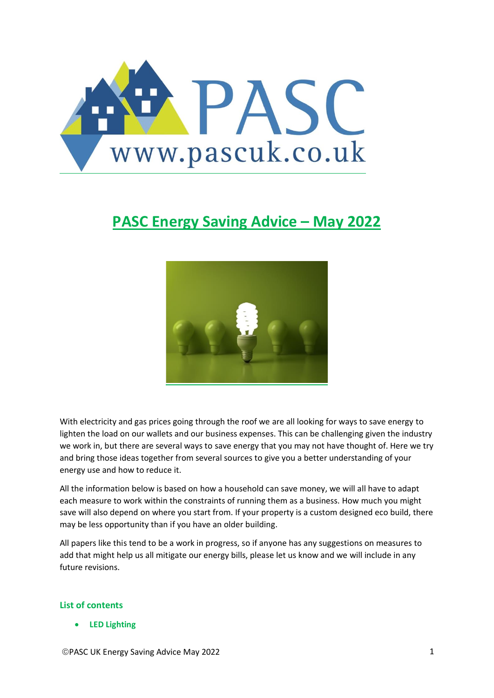

# **PASC Energy Saving Advice – May 2022**



With electricity and gas prices going through the roof we are all looking for ways to save energy to lighten the load on our wallets and our business expenses. This can be challenging given the industry we work in, but there are several ways to save energy that you may not have thought of. Here we try and bring those ideas together from several sources to give you a better understanding of your energy use and how to reduce it.

All the information below is based on how a household can save money, we will all have to adapt each measure to work within the constraints of running them as a business. How much you might save will also depend on where you start from. If your property is a custom designed eco build, there may be less opportunity than if you have an older building.

All papers like this tend to be a work in progress, so if anyone has any suggestions on measures to add that might help us all mitigate our energy bills, please let us know and we will include in any future revisions.

## **List of contents**

• **[LED Lighting](#page-1-0)**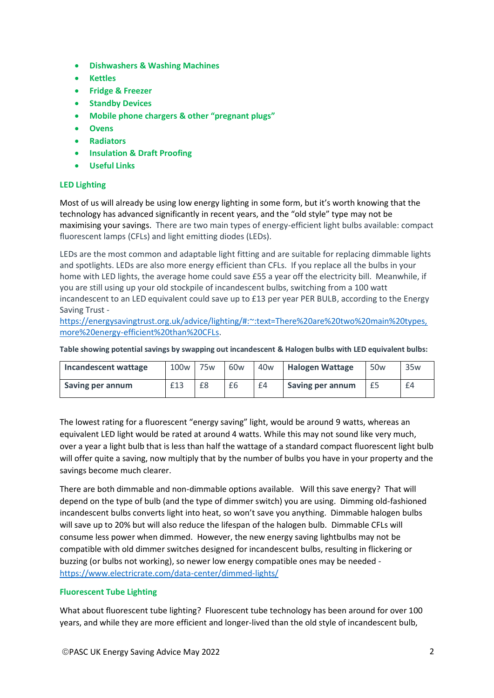- **[Dishwashers & Washing Machines](#page-2-0)**
- **[Kettles](#page-3-0)**
- **[Fridge & Freezer](#page-3-1)**
- **[Standby Devices](#page-4-0)**
- **Mobile phone chargers [& other "pregnant plugs"](#page-5-0)**
- **[Ovens](#page-5-1)**
- **[Radiators](#page-5-2)**
- **[Insulation & Draft Proofing](#page-6-0)**
- **[Useful Links](#page-6-1)**

## <span id="page-1-0"></span>**LED Lighting**

Most of us will already be using low energy lighting in some form, but it's worth knowing that the technology has advanced significantly in recent years, and the "old style" type may not be maximising your savings. There are two main types of energy-efficient light bulbs available: compact fluorescent lamps (CFLs) and light emitting diodes (LEDs).

LEDs are the most common and adaptable light fitting and are suitable for replacing dimmable lights and spotlights. LEDs are also more energy efficient than CFLs. If you replace all the bulbs in your home with LED lights, the average home could save £55 a year off the electricity bill. Meanwhile, if you are still using up your old stockpile of incandescent bulbs, switching from a 100 watt incandescent to an LED equivalent could save up to £13 per year PER BULB, according to the Energy Saving Trust -

[https://energysavingtrust.org.uk/advice/lighting/#:~:text=There%20are%20two%20main%20types,](https://energysavingtrust.org.uk/advice/lighting/#:~:text=There%20are%20two%20main%20types,more%20energy-efficient%20than%20CFLs) [more%20energy-efficient%20than%20CFLs.](https://energysavingtrust.org.uk/advice/lighting/#:~:text=There%20are%20two%20main%20types,more%20energy-efficient%20than%20CFLs)

**Table showing potential savings by swapping out incandescent & Halogen bulbs with LED equivalent bulbs:**

| Incandescent wattage | 100 <sub>w</sub> | 75 <sub>w</sub> | 60 <sub>w</sub> | 40 <sub>w</sub> | <b>Halogen Wattage</b> | 50 <sub>w</sub> | 35 <sub>w</sub> |
|----------------------|------------------|-----------------|-----------------|-----------------|------------------------|-----------------|-----------------|
| Saving per annum     | £13              | £8              | £6              | £4              | Saving per annum       | £5              | £4              |

The lowest rating for a fluorescent "energy saving" light, would be around 9 watts, whereas an equivalent LED light would be rated at around 4 watts. While this may not sound like very much, over a year a light bulb that is less than half the wattage of a standard compact fluorescent light bulb will offer quite a saving, now multiply that by the number of bulbs you have in your property and the savings become much clearer.

There are both dimmable and non-dimmable options available. Will this save energy? That will depend on the type of bulb (and the type of dimmer switch) you are using. Dimming old-fashioned incandescent bulbs converts light into heat, so won't save you anything. Dimmable halogen bulbs will save up to 20% but will also reduce the lifespan of the halogen bulb. Dimmable CFLs will consume less power when dimmed. However, the new energy saving lightbulbs may not be compatible with old dimmer switches designed for incandescent bulbs, resulting in flickering or buzzing (or bulbs not working), so newer low energy compatible ones may be needed <https://www.electricrate.com/data-center/dimmed-lights/>

# **Fluorescent Tube Lighting**

What about fluorescent tube lighting? Fluorescent tube technology has been around for over 100 years, and while they are more efficient and longer-lived than the old style of incandescent bulb,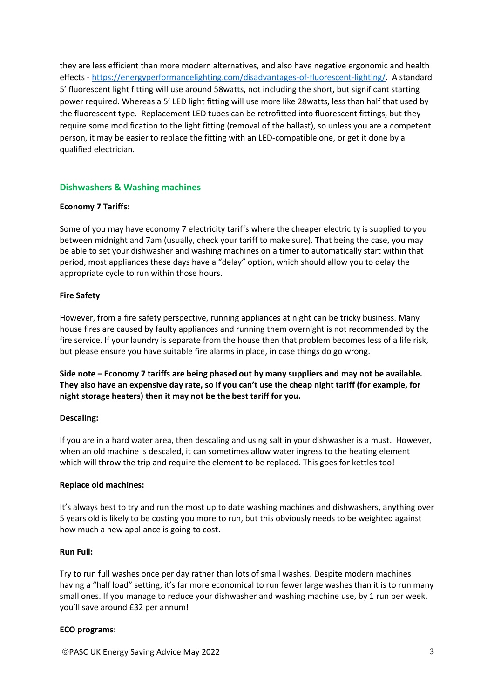they are less efficient than more modern alternatives, and also have negative ergonomic and health effects - [https://energyperformancelighting.com/disadvantages-of-fluorescent-lighting/.](https://energyperformancelighting.com/disadvantages-of-fluorescent-lighting/) A standard 5' fluorescent light fitting will use around 58watts, not including the short, but significant starting power required. Whereas a 5' LED light fitting will use more like 28watts, less than half that used by the fluorescent type. Replacement LED tubes can be retrofitted into fluorescent fittings, but they require some modification to the light fitting (removal of the ballast), so unless you are a competent person, it may be easier to replace the fitting with an LED-compatible one, or get it done by a qualified electrician.

# <span id="page-2-0"></span>**Dishwashers & Washing machines**

## **Economy 7 Tariffs:**

Some of you may have economy 7 electricity tariffs where the cheaper electricity is supplied to you between midnight and 7am (usually, check your tariff to make sure). That being the case, you may be able to set your dishwasher and washing machines on a timer to automatically start within that period, most appliances these days have a "delay" option, which should allow you to delay the appropriate cycle to run within those hours.

## **Fire Safety**

However, from a fire safety perspective, running appliances at night can be tricky business. Many house fires are caused by faulty appliances and running them overnight is not recommended by the fire service. If your laundry is separate from the house then that problem becomes less of a life risk, but please ensure you have suitable fire alarms in place, in case things do go wrong.

**Side note – Economy 7 tariffs are being phased out by many suppliers and may not be available. They also have an expensive day rate, so if you can't use the cheap night tariff (for example, for night storage heaters) then it may not be the best tariff for you.**

## **Descaling:**

If you are in a hard water area, then descaling and using salt in your dishwasher is a must. However, when an old machine is descaled, it can sometimes allow water ingress to the heating element which will throw the trip and require the element to be replaced. This goes for kettles too!

## **Replace old machines:**

It's always best to try and run the most up to date washing machines and dishwashers, anything over 5 years old is likely to be costing you more to run, but this obviously needs to be weighted against how much a new appliance is going to cost.

## **Run Full:**

Try to run full washes once per day rather than lots of small washes. Despite modern machines having a "half load" setting, it's far more economical to run fewer large washes than it is to run many small ones. If you manage to reduce your dishwasher and washing machine use, by 1 run per week, you'll save around £32 per annum!

## **ECO programs:**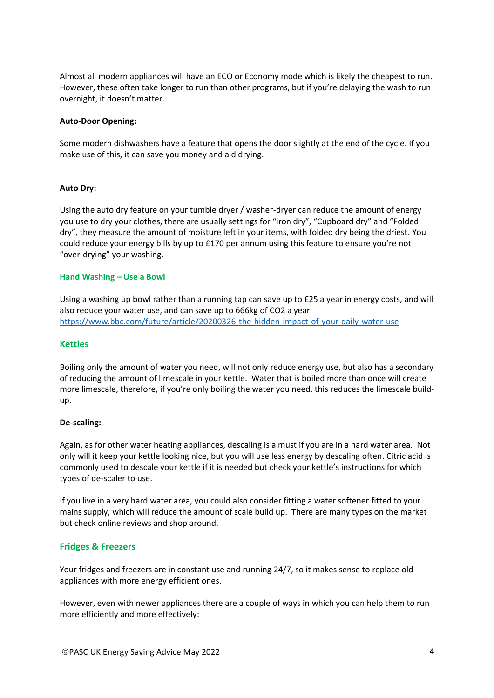Almost all modern appliances will have an ECO or Economy mode which is likely the cheapest to run. However, these often take longer to run than other programs, but if you're delaying the wash to run overnight, it doesn't matter.

#### **Auto-Door Opening:**

Some modern dishwashers have a feature that opens the door slightly at the end of the cycle. If you make use of this, it can save you money and aid drying.

#### **Auto Dry:**

Using the auto dry feature on your tumble dryer / washer-dryer can reduce the amount of energy you use to dry your clothes, there are usually settings for "iron dry", "Cupboard dry" and "Folded dry", they measure the amount of moisture left in your items, with folded dry being the driest. You could reduce your energy bills by up to £170 per annum using this feature to ensure you're not "over-drying" your washing.

#### **Hand Washing – Use a Bowl**

Using a washing up bowl rather than a running tap can save up to £25 a year in energy costs, and will also reduce your water use, and can save up to 666kg of CO2 a year <https://www.bbc.com/future/article/20200326-the-hidden-impact-of-your-daily-water-use>

#### <span id="page-3-0"></span>**Kettles**

Boiling only the amount of water you need, will not only reduce energy use, but also has a secondary of reducing the amount of limescale in your kettle. Water that is boiled more than once will create more limescale, therefore, if you're only boiling the water you need, this reduces the limescale buildup.

#### **De-scaling:**

Again, as for other water heating appliances, descaling is a must if you are in a hard water area. Not only will it keep your kettle looking nice, but you will use less energy by descaling often. Citric acid is commonly used to descale your kettle if it is needed but check your kettle's instructions for which types of de-scaler to use.

If you live in a very hard water area, you could also consider fitting a water softener fitted to your mains supply, which will reduce the amount of scale build up. There are many types on the market but check online reviews and shop around.

## <span id="page-3-1"></span>**Fridges & Freezers**

Your fridges and freezers are in constant use and running 24/7, so it makes sense to replace old appliances with more energy efficient ones.

However, even with newer appliances there are a couple of ways in which you can help them to run more efficiently and more effectively: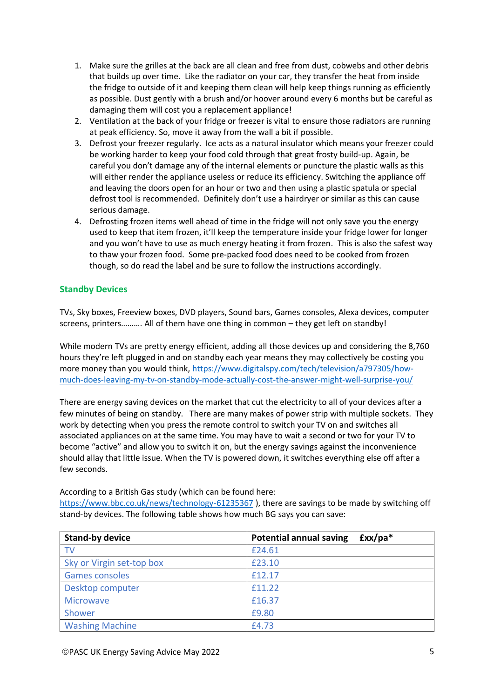- 1. Make sure the grilles at the back are all clean and free from dust, cobwebs and other debris that builds up over time. Like the radiator on your car, they transfer the heat from inside the fridge to outside of it and keeping them clean will help keep things running as efficiently as possible. Dust gently with a brush and/or hoover around every 6 months but be careful as damaging them will cost you a replacement appliance!
- 2. Ventilation at the back of your fridge or freezer is vital to ensure those radiators are running at peak efficiency. So, move it away from the wall a bit if possible.
- 3. Defrost your freezer regularly. Ice acts as a natural insulator which means your freezer could be working harder to keep your food cold through that great frosty build-up. Again, be careful you don't damage any of the internal elements or puncture the plastic walls as this will either render the appliance useless or reduce its efficiency. Switching the appliance off and leaving the doors open for an hour or two and then using a plastic spatula or special defrost tool is recommended. Definitely don't use a hairdryer or similar as this can cause serious damage.
- 4. Defrosting frozen items well ahead of time in the fridge will not only save you the energy used to keep that item frozen, it'll keep the temperature inside your fridge lower for longer and you won't have to use as much energy heating it from frozen. This is also the safest way to thaw your frozen food. Some pre-packed food does need to be cooked from frozen though, so do read the label and be sure to follow the instructions accordingly.

# <span id="page-4-0"></span>**Standby Devices**

TVs, Sky boxes, Freeview boxes, DVD players, Sound bars, Games consoles, Alexa devices, computer screens, printers………. All of them have one thing in common – they get left on standby!

While modern TVs are pretty energy efficient, adding all those devices up and considering the 8,760 hours they're left plugged in and on standby each year means they may collectively be costing you more money than you would think, [https://www.digitalspy.com/tech/television/a797305/how](https://www.digitalspy.com/tech/television/a797305/how-much-does-leaving-my-tv-on-standby-mode-actually-cost-the-answer-might-well-surprise-you/)[much-does-leaving-my-tv-on-standby-mode-actually-cost-the-answer-might-well-surprise-you/](https://www.digitalspy.com/tech/television/a797305/how-much-does-leaving-my-tv-on-standby-mode-actually-cost-the-answer-might-well-surprise-you/)

There are energy saving devices on the market that cut the electricity to all of your devices after a few minutes of being on standby. There are many makes of power strip with multiple sockets. They work by detecting when you press the remote control to switch your TV on and switches all associated appliances on at the same time. You may have to wait a second or two for your TV to become "active" and allow you to switch it on, but the energy savings against the inconvenience should allay that little issue. When the TV is powered down, it switches everything else off after a few seconds.

According to a British Gas study (which can be found here:

<https://www.bbc.co.uk/news/technology-61235367> ), there are savings to be made by switching off stand-by devices. The following table shows how much BG says you can save:

| <b>Stand-by device</b>    | <b>Potential annual saving</b><br>$fxx/pa*$ |
|---------------------------|---------------------------------------------|
| TV                        | £24.61                                      |
| Sky or Virgin set-top box | £23.10                                      |
| <b>Games consoles</b>     | £12.17                                      |
| Desktop computer          | £11.22                                      |
| <b>Microwave</b>          | £16.37                                      |
| Shower                    | £9.80                                       |
| <b>Washing Machine</b>    | £4.73                                       |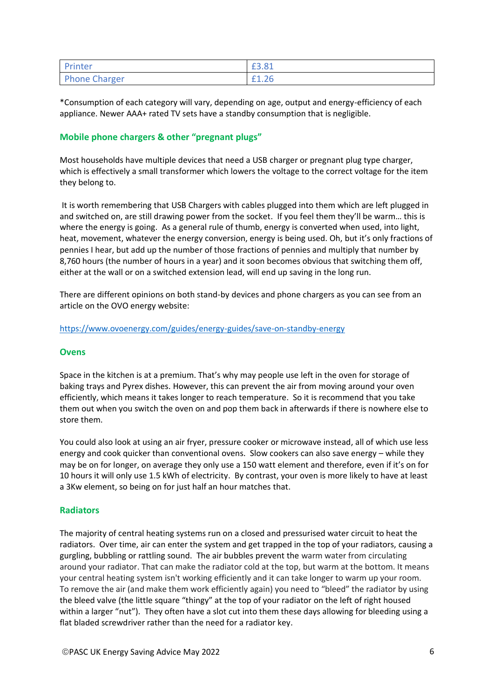| Printer              | £3.81 |
|----------------------|-------|
| <b>Phone Charger</b> | LI.ZU |

\*Consumption of each category will vary, depending on age, output and energy-efficiency of each appliance. Newer AAA+ rated TV sets have a standby consumption that is negligible.

# <span id="page-5-0"></span>**Mobile phone chargers & other "pregnant plugs"**

Most households have multiple devices that need a USB charger or pregnant plug type charger, which is effectively a small transformer which lowers the voltage to the correct voltage for the item they belong to.

It is worth remembering that USB Chargers with cables plugged into them which are left plugged in and switched on, are still drawing power from the socket. If you feel them they'll be warm… this is where the energy is going. As a general rule of thumb, energy is converted when used, into light, heat, movement, whatever the energy conversion, energy is being used. Oh, but it's only fractions of pennies I hear, but add up the number of those fractions of pennies and multiply that number by 8,760 hours (the number of hours in a year) and it soon becomes obvious that switching them off, either at the wall or on a switched extension lead, will end up saving in the long run.

<span id="page-5-1"></span>There are different opinions on both stand-by devices and phone chargers as you can see from an article on the OVO energy website:

<https://www.ovoenergy.com/guides/energy-guides/save-on-standby-energy>

## **Ovens**

Space in the kitchen is at a premium. That's why may people use left in the oven for storage of baking trays and Pyrex dishes. However, this can prevent the air from moving around your oven efficiently, which means it takes longer to reach temperature. So it is recommend that you take them out when you switch the oven on and pop them back in afterwards if there is nowhere else to store them.

You could also look at using an air fryer, pressure cooker or microwave instead, all of which use less energy and cook quicker than conventional ovens. Slow cookers can also save energy – while they may be on for longer, on average they only use a 150 watt element and therefore, even if it's on for 10 hours it will only use 1.5 kWh of electricity. By contrast, your oven is more likely to have at least a 3Kw element, so being on for just half an hour matches that.

# <span id="page-5-2"></span>**Radiators**

The majority of central heating systems run on a closed and pressurised water circuit to heat the radiators. Over time, air can enter the system and get trapped in the top of your radiators, causing a gurgling, bubbling or rattling sound. The air bubbles prevent the warm water from circulating around your radiator. That can make the radiator cold at the top, but warm at the bottom. It means your central heating system isn't working efficiently and it can take longer to warm up your room. To remove the air (and make them work efficiently again) you need to "bleed" the radiator by using the bleed valve (the little square "thingy" at the top of your radiator on the left of right housed within a larger "nut"). They often have a slot cut into them these days allowing for bleeding using a flat bladed screwdriver rather than the need for a radiator key.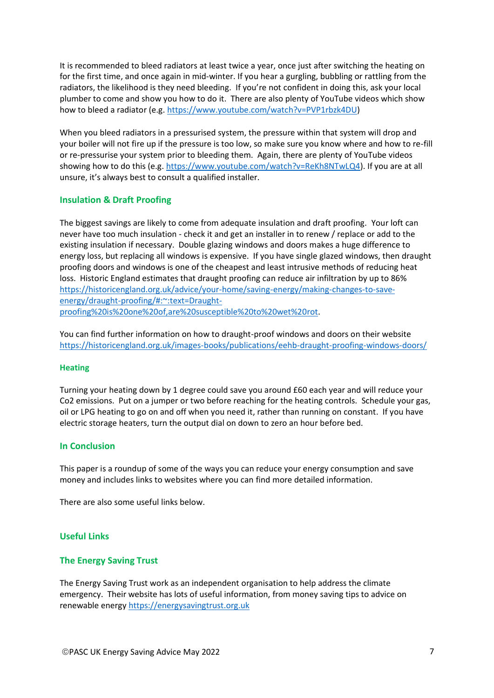It is recommended to bleed radiators at least twice a year, once just after switching the heating on for the first time, and once again in mid-winter. If you hear a gurgling, bubbling or rattling from the radiators, the likelihood is they need bleeding. If you're not confident in doing this, ask your local plumber to come and show you how to do it. There are also plenty of YouTube videos which show how to bleed a radiator (e.g. [https://www.youtube.com/watch?v=PVP1rbzk4DU\)](https://www.youtube.com/watch?v=PVP1rbzk4DU)

When you bleed radiators in a pressurised system, the pressure within that system will drop and your boiler will not fire up if the pressure is too low, so make sure you know where and how to re-fill or re-pressurise your system prior to bleeding them. Again, there are plenty of YouTube videos showing how to do this (e.g. [https://www.youtube.com/watch?v=ReKh8NTwLQ4\)](https://www.youtube.com/watch?v=ReKh8NTwLQ4). If you are at all unsure, it's always best to consult a qualified installer.

# <span id="page-6-0"></span>**Insulation & Draft Proofing**

The biggest savings are likely to come from adequate insulation and draft proofing. Your loft can never have too much insulation - check it and get an installer in to renew / replace or add to the existing insulation if necessary. Double glazing windows and doors makes a huge difference to energy loss, but replacing all windows is expensive. If you have single glazed windows, then draught proofing doors and windows is one of the cheapest and least intrusive methods of reducing heat loss. Historic England estimates that draught proofing can reduce air infiltration by up to 86% [https://historicengland.org.uk/advice/your-home/saving-energy/making-changes-to-save](https://historicengland.org.uk/advice/your-home/saving-energy/making-changes-to-save-energy/draught-proofing/#:~:text=Draught-proofing%20is%20one%20of,are%20susceptible%20to%20wet%20rot)[energy/draught-proofing/#:~:text=Draught](https://historicengland.org.uk/advice/your-home/saving-energy/making-changes-to-save-energy/draught-proofing/#:~:text=Draught-proofing%20is%20one%20of,are%20susceptible%20to%20wet%20rot)[proofing%20is%20one%20of,are%20susceptible%20to%20wet%20rot.](https://historicengland.org.uk/advice/your-home/saving-energy/making-changes-to-save-energy/draught-proofing/#:~:text=Draught-proofing%20is%20one%20of,are%20susceptible%20to%20wet%20rot)

You can find further information on how to draught-proof windows and doors on their website <https://historicengland.org.uk/images-books/publications/eehb-draught-proofing-windows-doors/>

## **Heating**

Turning your heating down by 1 degree could save you around £60 each year and will reduce your Co2 emissions. Put on a jumper or two before reaching for the heating controls. Schedule your gas, oil or LPG heating to go on and off when you need it, rather than running on constant. If you have electric storage heaters, turn the output dial on down to zero an hour before bed.

## **In Conclusion**

This paper is a roundup of some of the ways you can reduce your energy consumption and save money and includes links to websites where you can find more detailed information.

There are also some useful links below.

## <span id="page-6-1"></span>**Useful Links**

## **The Energy Saving Trust**

The Energy Saving Trust work as an independent organisation to help address the climate emergency. Their website has lots of useful information, from money saving tips to advice on renewable energy [https://energysavingtrust.org.uk](https://energysavingtrust.org.uk/)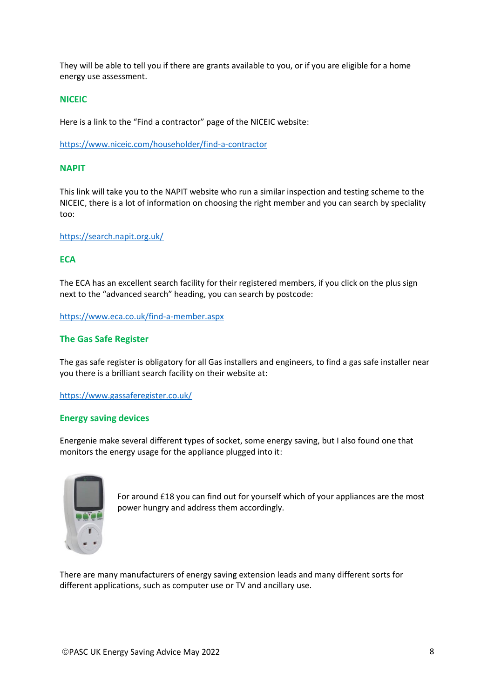They will be able to tell you if there are grants available to you, or if you are eligible for a home energy use assessment.

## **NICEIC**

Here is a link to the "Find a contractor" page of the NICEIC website:

<https://www.niceic.com/householder/find-a-contractor>

#### **NAPIT**

This link will take you to the NAPIT website who run a similar inspection and testing scheme to the NICEIC, there is a lot of information on choosing the right member and you can search by speciality too:

<https://search.napit.org.uk/>

## **ECA**

The ECA has an excellent search facility for their registered members, if you click on the plus sign next to the "advanced search" heading, you can search by postcode:

<https://www.eca.co.uk/find-a-member.aspx>

#### **The Gas Safe Register**

The gas safe register is obligatory for all Gas installers and engineers, to find a gas safe installer near you there is a brilliant search facility on their website at:

https://www.gassaferegister.co.uk/

#### **Energy saving devices**

Energenie make several different types of socket, some energy saving, but I also found one that monitors the energy usage for the appliance plugged into it:



For around £18 you can find out for yourself which of your appliances are the most power hungry and address them accordingly.

There are many manufacturers of energy saving extension leads and many different sorts for different applications, such as computer use or TV and ancillary use.